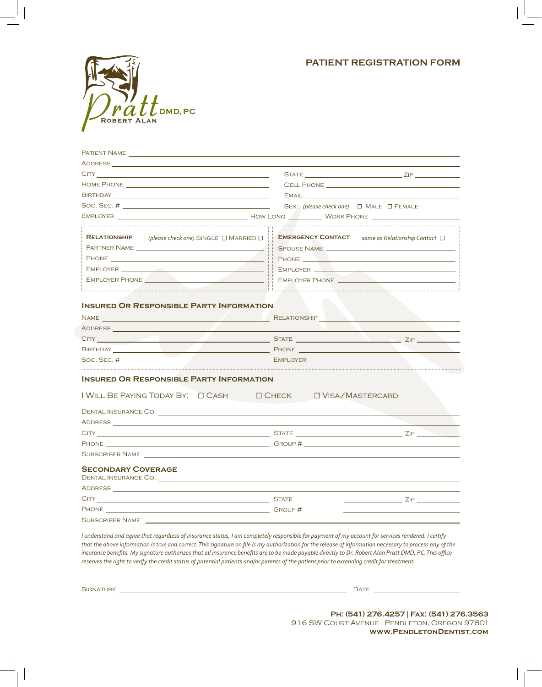## **PATIENT REGISTRATION FORM**



| PATIENT NAME                                                                                                                                                                                                                         |                                                          |  |  |  |  |
|--------------------------------------------------------------------------------------------------------------------------------------------------------------------------------------------------------------------------------------|----------------------------------------------------------|--|--|--|--|
|                                                                                                                                                                                                                                      |                                                          |  |  |  |  |
|                                                                                                                                                                                                                                      |                                                          |  |  |  |  |
|                                                                                                                                                                                                                                      |                                                          |  |  |  |  |
|                                                                                                                                                                                                                                      | EMAIL <b>EXAMPLE AND RESERVE AND RESERVE AND RESERVE</b> |  |  |  |  |
|                                                                                                                                                                                                                                      | SEX: (please check one) $\Box$ MALE $\Box$ FEMALE        |  |  |  |  |
|                                                                                                                                                                                                                                      |                                                          |  |  |  |  |
|                                                                                                                                                                                                                                      |                                                          |  |  |  |  |
| <b>RELATIONSHIP</b><br>(please check one) SINGLE $\Box$ MARRIED $\Box$ :                                                                                                                                                             | EMERGENCY CONTACT same as Relationship Contact $\Box$    |  |  |  |  |
|                                                                                                                                                                                                                                      | SPOUSE NAME                                              |  |  |  |  |
| PHONE <b>PERIODICAL CONTRACT CONTRACT CONTRACT CONTRACT CONTRACT CONTRACT CONTRACT CONTRACT CONTRACT CONTRACT CONTRACT CONTRACT CONTRACT CONTRACT CONTRACT CONTRACT CONTRACT CONTRACT CONTRACT CONTRACT CONTRACT CONTRACT CONTRA</b> |                                                          |  |  |  |  |
|                                                                                                                                                                                                                                      | EMPLOYER <u>Andrea Manuel Communication</u>              |  |  |  |  |
|                                                                                                                                                                                                                                      |                                                          |  |  |  |  |
|                                                                                                                                                                                                                                      |                                                          |  |  |  |  |
| <b>INSURED OR RESPONSIBLE PARTY INFORMATION</b>                                                                                                                                                                                      |                                                          |  |  |  |  |
|                                                                                                                                                                                                                                      |                                                          |  |  |  |  |
|                                                                                                                                                                                                                                      |                                                          |  |  |  |  |
|                                                                                                                                                                                                                                      | the control of the control of the control of             |  |  |  |  |
|                                                                                                                                                                                                                                      |                                                          |  |  |  |  |
|                                                                                                                                                                                                                                      |                                                          |  |  |  |  |
|                                                                                                                                                                                                                                      |                                                          |  |  |  |  |
|                                                                                                                                                                                                                                      |                                                          |  |  |  |  |
|                                                                                                                                                                                                                                      |                                                          |  |  |  |  |
|                                                                                                                                                                                                                                      |                                                          |  |  |  |  |
| DENTAL INSURANCE CO. THE RESIDENCE OF A STATE OF A STATE OF A STATE OF A STATE OF A STATE OF A STATE OF A STATE OF A STATE OF A STATE OF A STATE OF A STATE OF A STATE OF A STATE OF A STATE OF A STATE OF A STATE OF A STATE        |                                                          |  |  |  |  |
|                                                                                                                                                                                                                                      |                                                          |  |  |  |  |
|                                                                                                                                                                                                                                      |                                                          |  |  |  |  |
|                                                                                                                                                                                                                                      |                                                          |  |  |  |  |
| <b>INSURED OR RESPONSIBLE PARTY INFORMATION</b><br>I WILL BE PAYING TODAY BY: □ CASH □ CHECK □ VISA/MASTERCARD<br><b>ADDRESS AND ADDRESS</b><br>SUBSCRIBER NAME NAME                                                                 |                                                          |  |  |  |  |
| <b>SECONDARY COVERAGE</b>                                                                                                                                                                                                            |                                                          |  |  |  |  |
|                                                                                                                                                                                                                                      |                                                          |  |  |  |  |
|                                                                                                                                                                                                                                      |                                                          |  |  |  |  |
| CITY STATE STATE STATE STATE STATE STATE STATE STATE STATE STATE STATE STATE STATE STATE STATE STATE STATE STATE STATE STATE STATE STATE STATE STATE STATE STATE STATE STATE STATE STATE STATE STATE STATE STATE STATE STATE S       | $ZIP$ and $ZIP$ and $ZIP$ and $ZIP$ and $ZIP$            |  |  |  |  |

*I understand and agree that regardless of insurance status, I am completely responsible for payment of my account for services rendered. I certify that the above information is true and correct. This signature on file is my authorization for the release of information necessary to process any of the insurance benefits. My signature authorizes that all insurance benefits are to be made payable directly to Dr. Robert Alan Pratt DMD, PC. This office reserves the right to verify the credit status of potential patients and/or parents of the patient prior to extending credit for treatment.* 

| -<br>$\bigcup$<br>. .<br>_____ | <b>STATE OF GROOM</b><br>___<br>$\Delta$<br>the contract of the contract of the |  |
|--------------------------------|---------------------------------------------------------------------------------|--|
|                                |                                                                                 |  |

**Ph: (541) 276.4257** | **Fax: (541) 276.3563** 916 SW Court Avenue · Pendleton, Oregon 97801 **www.PendletonDentist.com**